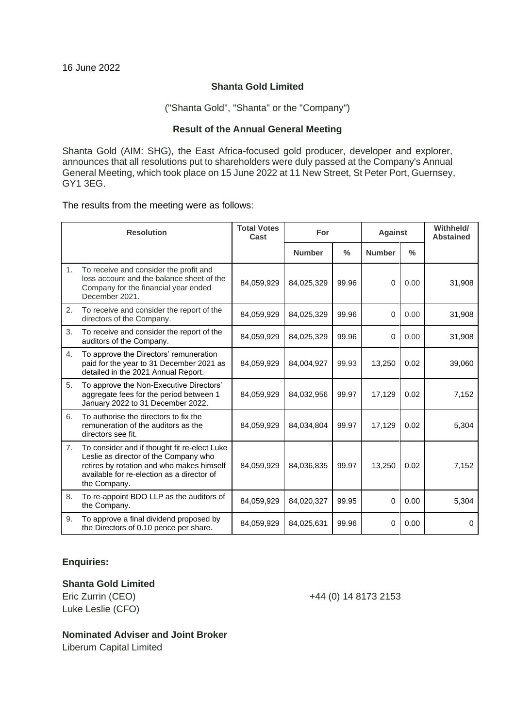### **Shanta Gold Limited**

("Shanta Gold", "Shanta" or the "Company")

#### **Result of the Annual General Meeting**

Shanta Gold (AIM: SHG), the East Africa-focused gold producer, developer and explorer, announces that all resolutions put to shareholders were duly passed at the Company's Annual General Meeting, which took place on 15 June 2022 at 11 New Street, St Peter Port, Guernsey, GY1 3EG.

The results from the meeting were as follows:

| <b>Resolution</b> |                                                                                                                                                                                                  | <b>Total Votes</b><br>Cast | For           |               | <b>Against</b> |               | Withheld/<br><b>Abstained</b> |
|-------------------|--------------------------------------------------------------------------------------------------------------------------------------------------------------------------------------------------|----------------------------|---------------|---------------|----------------|---------------|-------------------------------|
|                   |                                                                                                                                                                                                  |                            | <b>Number</b> | $\frac{0}{0}$ | <b>Number</b>  | $\frac{0}{0}$ |                               |
| 1 <sub>1</sub>    | To receive and consider the profit and<br>loss account and the balance sheet of the<br>Company for the financial year ended<br>December 2021.                                                    | 84,059,929                 | 84,025,329    | 99.96         | $\Omega$       | 0.00          | 31,908                        |
| 2.                | To receive and consider the report of the<br>directors of the Company.                                                                                                                           | 84,059,929                 | 84,025,329    | 99.96         | $\Omega$       | 0.00          | 31,908                        |
| 3.                | To receive and consider the report of the<br>auditors of the Company.                                                                                                                            | 84,059,929                 | 84,025,329    | 99.96         | $\Omega$       | 0.00          | 31,908                        |
| 4.                | To approve the Directors' remuneration<br>paid for the year to 31 December 2021 as<br>detailed in the 2021 Annual Report.                                                                        | 84,059,929                 | 84,004,927    | 99.93         | 13,250         | 0.02          | 39,060                        |
| 5.                | To approve the Non-Executive Directors'<br>aggregate fees for the period between 1<br>January 2022 to 31 December 2022.                                                                          | 84,059,929                 | 84,032,956    | 99.97         | 17,129         | 0.02          | 7,152                         |
| 6.                | To authorise the directors to fix the<br>remuneration of the auditors as the<br>directors see fit.                                                                                               | 84,059,929                 | 84,034,804    | 99.97         | 17,129         | 0.02          | 5,304                         |
| 7.                | To consider and if thought fit re-elect Luke<br>Leslie as director of the Company who<br>retires by rotation and who makes himself<br>available for re-election as a director of<br>the Company. | 84,059,929                 | 84,036,835    | 99.97         | 13,250         | 0.02          | 7,152                         |
| 8.                | To re-appoint BDO LLP as the auditors of<br>the Company.                                                                                                                                         | 84,059,929                 | 84,020,327    | 99.95         | 0              | 0.00          | 5,304                         |
| 9.                | To approve a final dividend proposed by<br>the Directors of 0.10 pence per share.                                                                                                                | 84,059,929                 | 84,025,631    | 99.96         | $\mathbf 0$    | 0.00          | $\Omega$                      |

# **Enquiries:**

### **Shanta Gold Limited**

Luke Leslie (CFO)

Eric Zurrin (CEO) +44 (0) 14 8173 2153

# **Nominated Adviser and Joint Broker**

Liberum Capital Limited